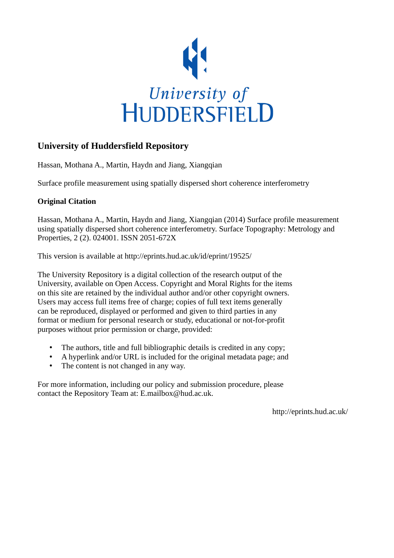

# **University of Huddersfield Repository**

Hassan, Mothana A., Martin, Haydn and Jiang, Xiangqian

Surface profile measurement using spatially dispersed short coherence interferometry

# **Original Citation**

Hassan, Mothana A., Martin, Haydn and Jiang, Xiangqian (2014) Surface profile measurement using spatially dispersed short coherence interferometry. Surface Topography: Metrology and Properties, 2 (2). 024001. ISSN 2051-672X

This version is available at http://eprints.hud.ac.uk/id/eprint/19525/

The University Repository is a digital collection of the research output of the University, available on Open Access. Copyright and Moral Rights for the items on this site are retained by the individual author and/or other copyright owners. Users may access full items free of charge; copies of full text items generally can be reproduced, displayed or performed and given to third parties in any format or medium for personal research or study, educational or not-for-profit purposes without prior permission or charge, provided:

- The authors, title and full bibliographic details is credited in any copy;
- A hyperlink and/or URL is included for the original metadata page; and
- The content is not changed in any way.

For more information, including our policy and submission procedure, please contact the Repository Team at: E.mailbox@hud.ac.uk.

http://eprints.hud.ac.uk/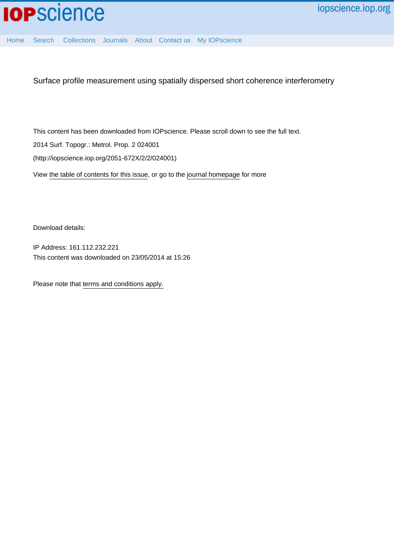[Home](http://iopscience.iop.org/) [Search](http://iopscience.iop.org/search) [Collections](http://iopscience.iop.org/collections) [Journals](http://iopscience.iop.org/journals) [About](http://iopscience.iop.org/page/aboutioppublishing) [Contact us](http://iopscience.iop.org/contact) [My IOPscience](http://iopscience.iop.org/myiopscience)

Surface profile measurement using spatially dispersed short coherence interferometry

This content has been downloaded from IOPscience. Please scroll down to see the full text. 2014 Surf. Topogr.: Metrol. Prop. 2 024001 (http://iopscience.iop.org/2051-672X/2/2/024001)

View [the table of contents for this issue](http://iopscience.iop.org/2051-672X/2/2), or go to the [journal homepage](http://iopscience.iop.org/2051-672X) for more

Download details:

IP Address: 161.112.232.221 This content was downloaded on 23/05/2014 at 15:26

Please note that [terms and conditions apply.](iopscience.iop.org/page/terms)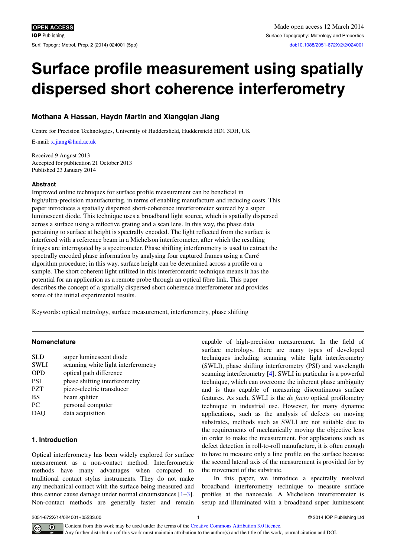# **Surface profile measurement using spatially dispersed short coherence interferometry**

# **Mothana A Hassan, Haydn Martin and Xiangqian Jiang**

Centre for Precision Technologies, University of Huddersfield, Huddersfield HD1 3DH, UK

E-mail: [x.jiang@hud.ac.uk](mailto:x.jiang@hud.ac.uk)

Received 9 August 2013 Accepted for publication 21 October 2013 Published 23 January 2014

## **Abstract**

Improved online techniques for surface profile measurement can be beneficial in high/ultra-precision manufacturing, in terms of enabling manufacture and reducing costs. This paper introduces a spatially dispersed short-coherence interferometer sourced by a super luminescent diode. This technique uses a broadband light source, which is spatially dispersed across a surface using a reflective grating and a scan lens. In this way, the phase data pertaining to surface at height is spectrally encoded. The light reflected from the surface is interfered with a reference beam in a Michelson interferometer, after which the resulting fringes are interrogated by a spectrometer. Phase shifting interferometry is used to extract the spectrally encoded phase information by analysing four captured frames using a Carré algorithm procedure; in this way, surface height can be determined across a profile on a sample. The short coherent light utilized in this interferometric technique means it has the potential for an application as a remote probe through an optical fibre link. This paper describes the concept of a spatially dispersed short coherence interferometer and provides some of the initial experimental results.

Keywords: optical metrology, surface measurement, interferometry, phase shifting

# **Nomenclature**

| <b>SLD</b>  | super luminescent diode             |
|-------------|-------------------------------------|
| <b>SWLI</b> | scanning white light interferometry |
| <b>OPD</b>  | optical path difference             |
| <b>PSI</b>  | phase shifting interferometry       |
| <b>PZT</b>  | piezo-electric transducer           |
| BS          | beam splitter                       |
| PC          | personal computer                   |
| <b>DAO</b>  | data acquisition                    |
|             |                                     |

# **1. Introduction**

Optical interferometry has been widely explored for surface measurement as a non-contact method. Interferometric methods have many advantages when compared to traditional contact stylus instruments. They do not make any mechanical contact with the surface being measured and thus cannot cause damage under normal circumstances  $[1-3]$ . Non-contact methods are generally faster and remain

capable of high-precision measurement. In the field of surface metrology, there are many types of developed techniques including scanning white light interferometry (SWLI), phase shifting interferometry (PSI) and wavelength scanning interferometry [\[4\]](#page-6-0). SWLI in particular is a powerful technique, which can overcome the inherent phase ambiguity and is thus capable of measuring discontinuous surface features. As such, SWLI is the *de facto* optical profilometry technique in industrial use. However, for many dynamic applications, such as the analysis of defects on moving substrates, methods such as SWLI are not suitable due to the requirements of mechanically moving the objective lens in order to make the measurement. For applications such as defect detection in roll-to-roll manufacture, it is often enough to have to measure only a line profile on the surface because the second lateral axis of the measurement is provided for by the movement of the substrate.

In this paper, we introduce a spectrally resolved broadband interferometry technique to measure surface profiles at the nanoscale. A Michelson interferometer is setup and illuminated with a broadband super luminescent

2051-672X/14/024001+05\$33.00 1 © 2014 IOP Publishing Ltd

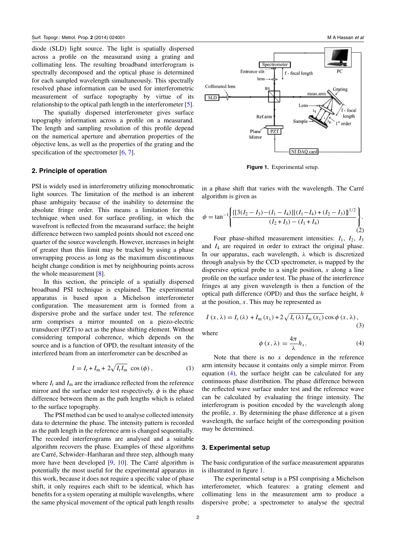<span id="page-3-0"></span>diode (SLD) light source. The light is spatially dispersed across a profile on the measurand using a grating and collimating lens. The resulting broadband interferogram is spectrally decomposed and the optical phase is determined for each sampled wavelength simultaneously. This spectrally resolved phase information can be used for interferometric measurement of surface topography by virtue of its relationship to the optical path length in the interferometer [\[5\]](#page-6-0).

The spatially dispersed interferometer gives surface topography information across a profile on a measurand. The length and sampling resolution of this profile depend on the numerical aperture and aberration properties of the objective lens, as well as the properties of the grating and the specification of the spectrometer [\[6,](#page-6-0) [7\]](#page-6-0).

## **2. Principle of operation**

PSI is widely used in interferometry utilizing monochromatic light sources. The limitation of the method is an inherent phase ambiguity because of the inability to determine the absolute fringe order. This means a limitation for this technique when used for surface profiling, in which the wavefront is reflected from the measurand surface; the height difference between two sampled points should not exceed one quarter of the source wavelength. However, increases in height of greater than this limit may be tracked by using a phase unwrapping process as long as the maximum discontinuous height change condition is met by neighbouring points across the whole measurement [\[8\]](#page-6-0).

In this section, the principle of a spatially dispersed broadband PSI technique is explained. The experimental apparatus is based upon a Michelson interferometer configuration. The measurement arm is formed from a dispersive probe and the surface under test. The reference arm comprises a mirror mounted on a piezo-electric transducer (PZT) to act as the phase shifting element. Without considering temporal coherence, which depends on the source and is a function of OPD, the resultant intensity of the interfered beam from an interferometer can be described as

$$
I = I_{\rm r} + I_{\rm m} + 2\sqrt{I_{\rm r}I_{\rm m}} \cos(\phi) , \qquad (1)
$$

where  $I_r$  and  $I_m$  are the irradiance reflected from the reference mirror and the surface under test respectively.  $\phi$  is the phase difference between them as the path lengths which is related to the surface topography.

The PSI method can be used to analyse collected intensity data to determine the phase. The intensity pattern is recorded as the path length in the reference arm is changed sequentially. The recorded interferograms are analysed and a suitable algorithm recovers the phase. Examples of these algorithms are Carré, Schwider–Hariharan and three step, although many more have been developed [\[9,](#page-6-0) [10\]](#page-6-0). The Carré algorithm is potentially the most useful for the experimental apparatus in this work, because it does not require a specific value of phase shift, it only requires each shift to be identical, which has benefits for a system operating at multiple wavelengths, where the same physical movement of the optical path length results



**Figure 1.** Experimental setup.

in a phase shift that varies with the wavelength. The Carré algorithm is given as

$$
\phi = \tan^{-1} \left\{ \frac{\left\{ [3(I_2 - I_3) - (I_1 - I_4)][(I_1 - I_4) + (I_2 - I_3)] \right\}^{1/2}}{(I_2 + I_3) - (I_1 + I_4)} \right\}.
$$
\n(2)

Four phase-shifted measurement intensities: *I*1, *I*2, *I*<sup>3</sup> and *I*<sup>4</sup> are required in order to extract the original phase. In our apparatus, each wavelength,  $\lambda$  which is discretized through analysis by the CCD spectrometer, is mapped by the dispersive optical probe to a single position, *x* along a line profile on the surface under test. The phase of the interference fringes at any given wavelength is then a function of the optical path difference (OPD) and thus the surface height, *h* at the position, *x*. This may be represented as

$$
I(x, \lambda) = I_{r}(\lambda) + I_{m}(x_{\lambda}) + 2\sqrt{I_{r}(\lambda) I_{m}(x_{\lambda})} \cos \phi (x, \lambda),
$$
\n(3)

where

$$
\phi(x,\lambda) = \frac{4\pi}{\lambda}h_x.
$$
\n(4)

Note that there is no *x* dependence in the reference arm intensity because it contains only a simple mirror. From equation (4), the surface height can be calculated for any continuous phase distribution. The phase difference between the reflected wave surface under test and the reference wave can be calculated by evaluating the fringe intensity. The interferogram is position encoded by the wavelength along the profile,  $x$ . By determining the phase difference at a given wavelength, the surface height of the corresponding position may be determined.

### **3. Experimental setup**

The basic configuration of the surface measurement apparatus is illustrated in figure 1.

The experimental setup is a PSI comprising a Michelson interferometer, which features: a grating element and collimating lens in the measurement arm to produce a dispersive probe; a spectrometer to analyse the spectral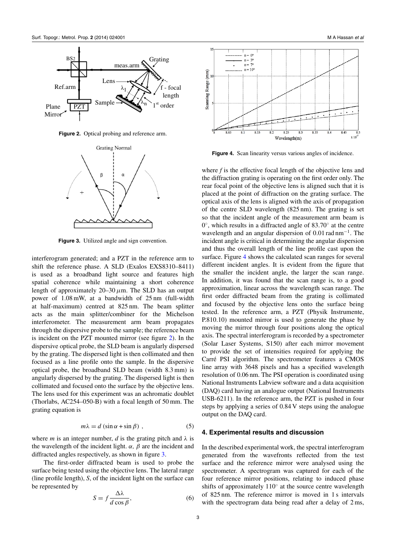

**Figure 2.** Optical probing and reference arm.



**Figure 3.** Utilized angle and sign convention.

interferogram generated; and a PZT in the reference arm to shift the reference phase. A SLD (Exalos EXS8310–8411) is used as a broadband light source and features high spatial coherence while maintaining a short coherence length of approximately  $20-30 \mu$ m. The SLD has an output power of 1.08 mW, at a bandwidth of 25 nm (full-width at half-maximum) centred at 825 nm. The beam splitter acts as the main splitter/combiner for the Michelson interferometer. The measurement arm beam propagates through the dispersive probe to the sample; the reference beam is incident on the PZT mounted mirror (see figure 2). In the dispersive optical probe, the SLD beam is angularly dispersed by the grating. The dispersed light is then collimated and then focused as a line profile onto the sample. In the dispersive optical probe, the broadband SLD beam (width 8.3 mm) is angularly dispersed by the grating. The dispersed light is then collimated and focused onto the surface by the objective lens. The lens used for this experiment was an achromatic doublet (Thorlabs, AC254–050-B) with a focal length of 50 mm. The grating equation is

$$
m\lambda = d\left(\sin\alpha + \sin\beta\right),\tag{5}
$$

where *m* is an integer number, *d* is the grating pitch and  $\lambda$  is the wavelength of the incident light.  $\alpha$ ,  $\beta$  are the incident and diffracted angles respectively, as shown in figure 3.

The first-order diffracted beam is used to probe the surface being tested using the objective lens. The lateral range (line profile length), *S*, of the incident light on the surface can be represented by

$$
S = f \frac{\Delta \lambda}{d \cos \beta},\tag{6}
$$



**Figure 4.** Scan linearity versus various angles of incidence.

where *f* is the effective focal length of the objective lens and the diffraction grating is operating on the first order only. The rear focal point of the objective lens is aligned such that it is placed at the point of diffraction on the grating surface. The optical axis of the lens is aligned with the axis of propagation of the centre SLD wavelength (825 nm). The grating is set so that the incident angle of the measurement arm beam is 0°, which results in a diffracted angle of 83.70° at the centre wavelength and an angular dispersion of 0.01 rad nm<sup>-1</sup>. The incident angle is critical in determining the angular dispersion and thus the overall length of the line profile cast upon the surface. Figure 4 shows the calculated scan ranges for several different incident angles. It is evident from the figure that the smaller the incident angle, the larger the scan range. In addition, it was found that the scan range is, to a good approximation, linear across the wavelength scan range. The first order diffracted beam from the grating is collimated and focused by the objective lens onto the surface being tested. In the reference arm, a PZT (Physik Instrumente, P.810.10) mounted mirror is used to generate the phase by moving the mirror through four positions along the optical axis. The spectral interferogram is recorded by a spectrometer (Solar Laser Systems, S150) after each mirror movement to provide the set of intensities required for applying the Carré PSI algorithm. The spectrometer features a CMOS line array with 3648 pixels and has a specified wavelength resolution of 0.06 nm. The PSI operation is coordinated using National Instruments Labview software and a data acquisition (DAQ) card having an analogue output (National Instruments USB-6211). In the reference arm, the PZT is pushed in four steps by applying a series of 0.84 V steps using the analogue output on the DAQ card.

#### **4. Experimental results and discussion**

In the described experimental work, the spectral interferogram generated from the wavefronts reflected from the test surface and the reference mirror were analysed using the spectrometer. A spectrogram was captured for each of the four reference mirror positions, relating to induced phase shifts of approximately 110° at the source centre wavelength of 825 nm. The reference mirror is moved in 1 s intervals with the spectrogram data being read after a delay of  $2 \text{ ms}$ ,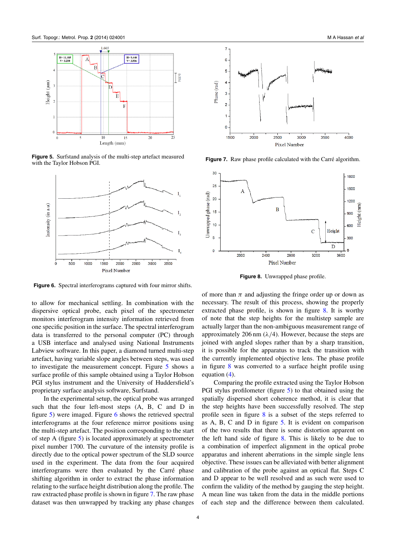<span id="page-5-0"></span>

**Figure 5.** Surfstand analysis of the multi-step artefact measured with the Taylor Hobson PGI.



**Figure 6.** Spectral interferograms captured with four mirror shifts.

to allow for mechanical settling. In combination with the dispersive optical probe, each pixel of the spectrometer monitors interferogram intensity information retrieved from one specific position in the surface. The spectral interferogram data is transferred to the personal computer (PC) through a USB interface and analysed using National Instruments Labview software. In this paper, a diamond turned multi-step artefact, having variable slope angles between steps, was used to investigate the measurement concept. Figure 5 shows a surface profile of this sample obtained using a Taylor Hobson PGI stylus instrument and the University of Huddersfield's proprietary surface analysis software, Surfstand.

In the experimental setup, the optical probe was arranged such that the four left-most steps (A, B, C and D in figure 5) were imaged. Figure 6 shows the retrieved spectral interferograms at the four reference mirror positions using the multi-step artefact. The position corresponding to the start of step A (figure 5) is located approximately at spectrometer pixel number 1700. The curvature of the intensity profile is directly due to the optical power spectrum of the SLD source used in the experiment. The data from the four acquired interferograms were then evaluated by the Carré phase shifting algorithm in order to extract the phase information relating to the surface height distribution along the profile. The raw extracted phase profile is shown in figure 7. The raw phase dataset was then unwrapped by tracking any phase changes



**Figure 7.** Raw phase profile calculated with the Carré algorithm.



**Figure 8.** Unwrapped phase profile.

of more than  $\pi$  and adjusting the fringe order up or down as necessary. The result of this process, showing the properly extracted phase profile, is shown in figure 8. It is worthy of note that the step heights for the multistep sample are actually larger than the non-ambiguous measurement range of approximately 206 nm  $(\lambda/4)$ . However, because the steps are joined with angled slopes rather than by a sharp transition, it is possible for the apparatus to track the transition with the currently implemented objective lens. The phase profile in figure 8 was converted to a surface height profile using equation [\(4\)](#page-3-0).

Comparing the profile extracted using the Taylor Hobson PGI stylus profilometer (figure 5) to that obtained using the spatially dispersed short coherence method, it is clear that the step heights have been successfully resolved. The step profile seen in figure 8 is a subset of the steps referred to as A, B, C and D in figure 5. It is evident on comparison of the two results that there is some distortion apparent on the left hand side of figure 8. This is likely to be due to a combination of imperfect alignment in the optical probe apparatus and inherent aberrations in the simple single lens objective. These issues can be alleviated with better alignment and calibration of the probe against an optical flat. Steps C and D appear to be well resolved and as such were used to confirm the validity of the method by gauging the step height. A mean line was taken from the data in the middle portions of each step and the difference between them calculated.